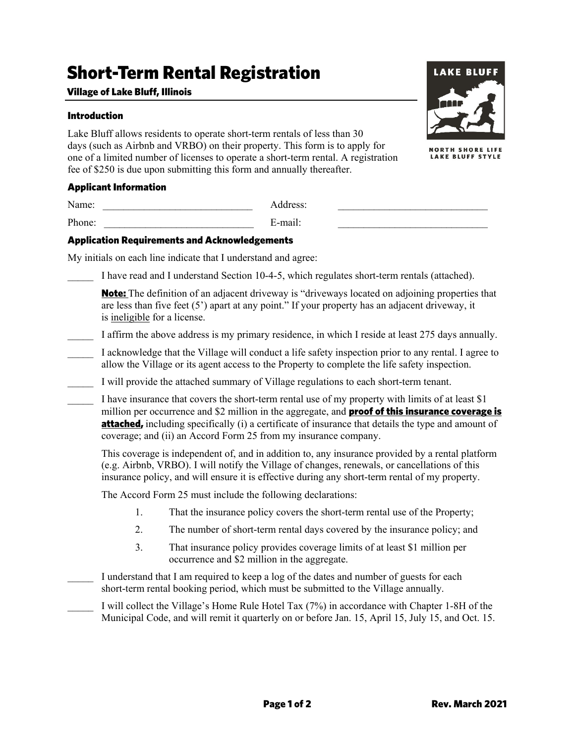# Short-Term Rental Registration

#### Village of Lake Bluff, Illinois

#### Introduction

Lake Bluff allows residents to operate short-term rentals of less than 30 days (such as Airbnb and VRBO) on their property. This form is to apply for one of a limited number of licenses to operate a short-term rental. A registration fee of \$250 is due upon submitting this form and annually thereafter.



Name: \_\_\_\_\_\_\_\_\_\_\_\_\_\_\_\_\_\_\_\_\_\_\_\_\_\_\_\_\_ Address: \_\_\_\_\_\_\_\_\_\_\_\_\_\_\_\_\_\_\_\_\_\_\_\_\_\_\_\_\_ Phone: \_\_\_\_\_\_\_\_\_\_\_\_\_\_\_\_\_\_\_\_\_\_\_\_\_\_\_\_\_ E-mail: \_\_\_\_\_\_\_\_\_\_\_\_\_\_\_\_\_\_\_\_\_\_\_\_\_\_\_\_\_

#### Application Requirements and Acknowledgements

My initials on each line indicate that I understand and agree:

I have read and I understand Section 10-4-5, which regulates short-term rentals (attached).

**Note:** The definition of an adjacent driveway is "driveways located on adjoining properties that are less than five feet (5') apart at any point." If your property has an adjacent driveway, it is ineligible for a license.

- I affirm the above address is my primary residence, in which I reside at least 275 days annually.
- \_\_\_\_\_ I acknowledge that the Village will conduct a life safety inspection prior to any rental. I agree to allow the Village or its agent access to the Property to complete the life safety inspection.
- \_\_\_\_\_ I will provide the attached summary of Village regulations to each short-term tenant.

I have insurance that covers the short-term rental use of my property with limits of at least \$1 million per occurrence and  $$2$  million in the aggregate, and **proof of this insurance coverage is attached,** including specifically (i) a certificate of insurance that details the type and amount of coverage; and (ii) an Accord Form 25 from my insurance company.

This coverage is independent of, and in addition to, any insurance provided by a rental platform (e.g. Airbnb, VRBO). I will notify the Village of changes, renewals, or cancellations of this insurance policy, and will ensure it is effective during any short-term rental of my property.

The Accord Form 25 must include the following declarations:

- 1. That the insurance policy covers the short-term rental use of the Property;
- 2. The number of short-term rental days covered by the insurance policy; and
- 3. That insurance policy provides coverage limits of at least \$1 million per occurrence and \$2 million in the aggregate.

I understand that I am required to keep a log of the dates and number of guests for each short-term rental booking period, which must be submitted to the Village annually.

I will collect the Village's Home Rule Hotel Tax (7%) in accordance with Chapter 1-8H of the Municipal Code, and will remit it quarterly on or before Jan. 15, April 15, July 15, and Oct. 15.



**NORTH SHORE LIFE LAKE BLUFF STYLE**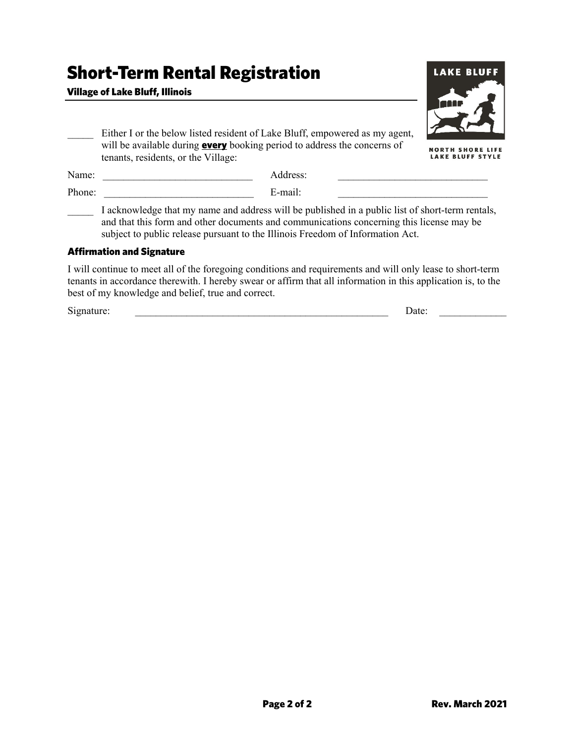## Short-Term Rental Registration

### Village of Lake Bluff, Illinois



| Either I or the below listed resident of Lake Bluff, empowered as my agent,     |
|---------------------------------------------------------------------------------|
| will be available during <b>every</b> booking period to address the concerns of |
| tenants, residents, or the Village:                                             |
|                                                                                 |

**NORTH SHORE LIFE** LAKE BLUFF STYLE

| Name:  |                                                                                                  | Address: |  |  |
|--------|--------------------------------------------------------------------------------------------------|----------|--|--|
| Phone: |                                                                                                  | E-mail:  |  |  |
|        | I acknowledge that my name and address will be published in a public list of short-term rentals, |          |  |  |

and that this form and other documents and communications concerning this license may be subject to public release pursuant to the Illinois Freedom of Information Act.

#### Affirmation and Signature

I will continue to meet all of the foregoing conditions and requirements and will only lease to short-term tenants in accordance therewith. I hereby swear or affirm that all information in this application is, to the best of my knowledge and belief, true and correct.

Signature:  $\Box$